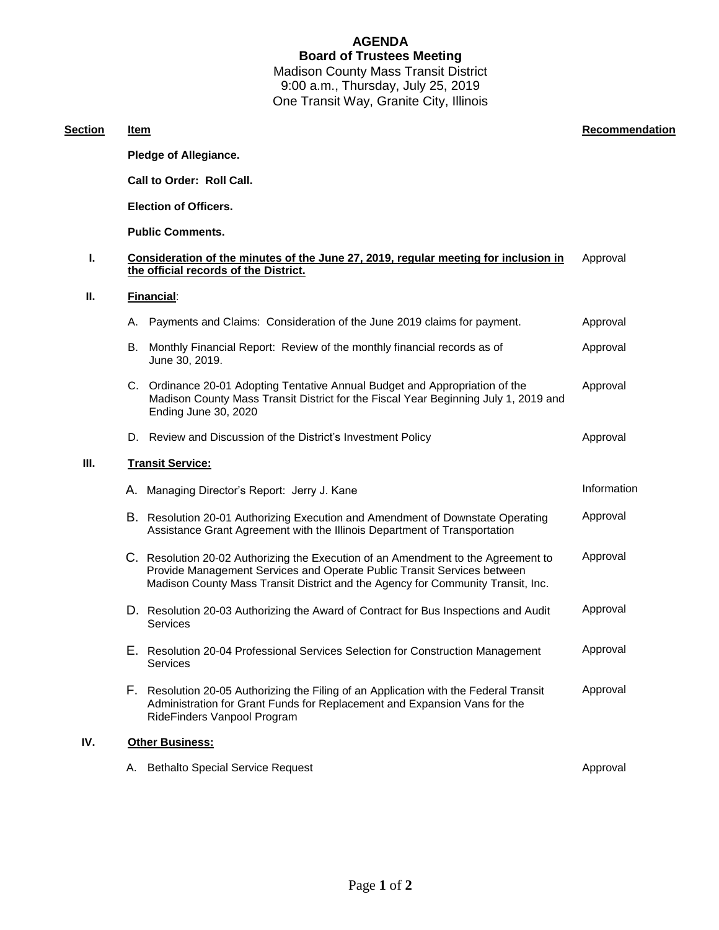### **AGENDA Board of Trustees Meeting** Madison County Mass Transit District 9:00 a.m., Thursday, July 25, 2019 One Transit Way, Granite City, Illinois

**Section Item Recommendation**

# **Call to Order: Roll Call. Election of Officers. Public Comments. I. Consideration of the minutes of the June 27, 2019, regular meeting for inclusion in the official records of the District.** Approval **II. Financial**: A. Payments and Claims: Consideration of the June 2019 claims for payment. Approval B. Monthly Financial Report: Review of the monthly financial records as of June 30, 2019. Approval C. Ordinance 20-01 Adopting Tentative Annual Budget and Appropriation of the Madison County Mass Transit District for the Fiscal Year Beginning July 1, 2019 and Ending June 30, 2020 Approval D. Review and Discussion of the District's Investment Policy **Approval** Approval **III. Transit Service:** A. Managing Director's Report: Jerry J. Kane Information and Information and Information B. Resolution 20-01 Authorizing Execution and Amendment of Downstate Operating Assistance Grant Agreement with the Illinois Department of Transportation Approval C. Resolution 20-02 Authorizing the Execution of an Amendment to the Agreement to Provide Management Services and Operate Public Transit Services between Madison County Mass Transit District and the Agency for Community Transit, Inc. Approval D. Resolution 20-03 Authorizing the Award of Contract for Bus Inspections and Audit Services Approval E. Resolution 20-04 Professional Services Selection for Construction Management Services Approval F. Resolution 20-05 Authorizing the Filing of an Application with the Federal Transit Administration for Grant Funds for Replacement and Expansion Vans for the RideFinders Vanpool Program Approval

#### **IV. Other Business:**

**Pledge of Allegiance.**

| A. Bethalto Special Service Request | Approval |
|-------------------------------------|----------|
|                                     |          |